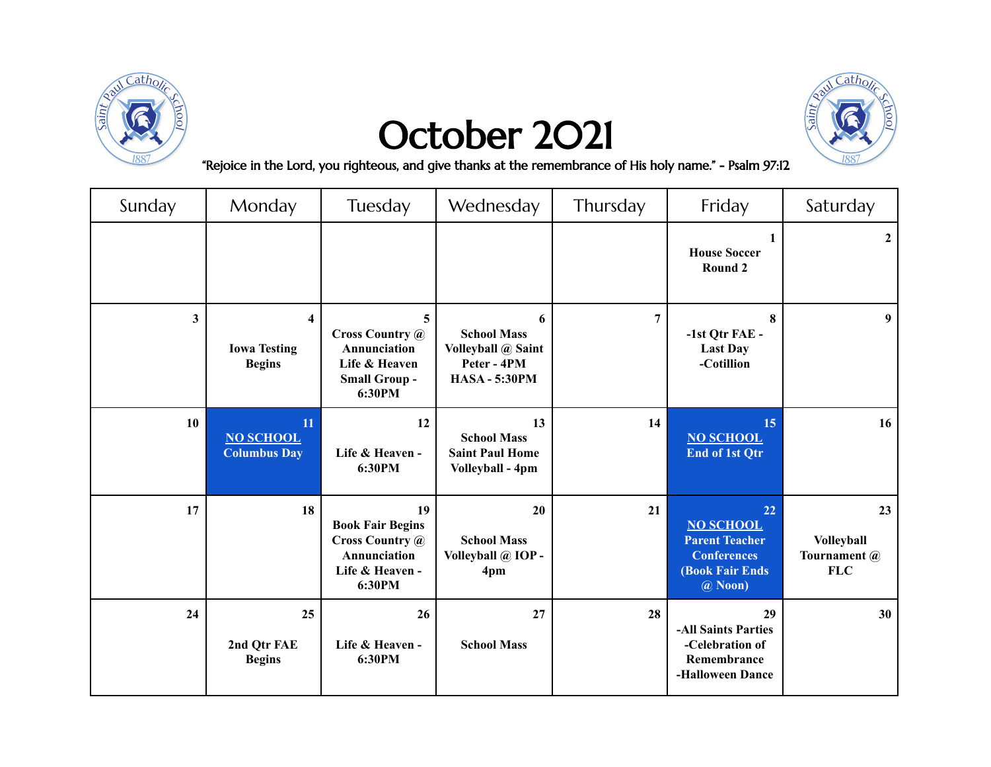

## October 2021



"Rejoice in the Lord, you righteous, and give thanks at the remembrance of His holy name." - Psalm 97:12

| Sunday                  | Monday                                                          | Tuesday                                                                                              | Wednesday                                                                            | Thursday       | Friday                                                                                               | Saturday                                              |
|-------------------------|-----------------------------------------------------------------|------------------------------------------------------------------------------------------------------|--------------------------------------------------------------------------------------|----------------|------------------------------------------------------------------------------------------------------|-------------------------------------------------------|
|                         |                                                                 |                                                                                                      |                                                                                      |                | <b>House Soccer</b><br>Round 2                                                                       | $\mathbf{2}$                                          |
| $\overline{\mathbf{3}}$ | $\overline{\mathbf{4}}$<br><b>Iowa Testing</b><br><b>Begins</b> | 5<br><b>Cross Country @</b><br>Annunciation<br>Life & Heaven<br><b>Small Group -</b><br>6:30PM       | 6<br><b>School Mass</b><br>Volleyball @ Saint<br>Peter - 4PM<br><b>HASA - 5:30PM</b> | $\overline{7}$ | 8<br>-1st Qtr FAE -<br><b>Last Day</b><br>-Cotillion                                                 | 9                                                     |
| <b>10</b>               | 11<br><b>NO SCHOOL</b><br><b>Columbus Day</b>                   | 12<br>Life & Heaven -<br>6:30PM                                                                      | 13<br><b>School Mass</b><br><b>Saint Paul Home</b><br>Volleyball - 4pm               | 14             | 15<br><b>NO SCHOOL</b><br><b>End of 1st Qtr</b>                                                      | 16                                                    |
| 17                      | 18                                                              | 19<br><b>Book Fair Begins</b><br><b>Cross Country @</b><br>Annunciation<br>Life & Heaven -<br>6:30PM | 20<br><b>School Mass</b><br>Volleyball @ IOP -<br>4pm                                | 21             | 22<br><b>NO SCHOOL</b><br><b>Parent Teacher</b><br><b>Conferences</b><br>(Book Fair Ends)<br>@ Noon) | 23<br><b>Volleyball</b><br>Tournament @<br><b>FLC</b> |
| 24                      | 25<br>2nd Qtr FAE<br><b>Begins</b>                              | 26<br>Life & Heaven -<br>6:30PM                                                                      | 27<br><b>School Mass</b>                                                             | 28             | 29<br>-All Saints Parties<br>-Celebration of<br>Remembrance<br>-Halloween Dance                      | 30                                                    |